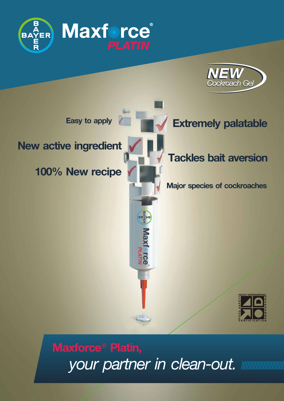



# **Maxforce**® **Platin,** *your partner in clean-out.*